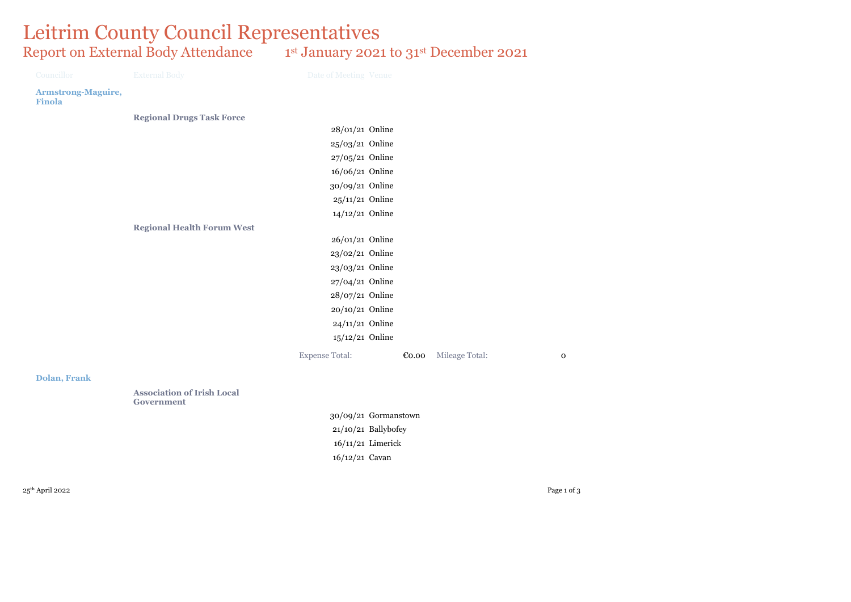## Leitrim County Council Representatives Report on External Body Attendance 1st January 2021 to 31st December 2021

| Councillor                                 | <b>External Body</b>                            | Date of Meeting Venue |       |                |             |
|--------------------------------------------|-------------------------------------------------|-----------------------|-------|----------------|-------------|
| <b>Armstrong-Maguire,</b><br><b>Finola</b> |                                                 |                       |       |                |             |
|                                            | <b>Regional Drugs Task Force</b>                |                       |       |                |             |
|                                            |                                                 | 28/01/21 Online       |       |                |             |
|                                            |                                                 | 25/03/21 Online       |       |                |             |
|                                            |                                                 | 27/05/21 Online       |       |                |             |
|                                            |                                                 | 16/06/21 Online       |       |                |             |
|                                            |                                                 | 30/09/21 Online       |       |                |             |
|                                            |                                                 | 25/11/21 Online       |       |                |             |
|                                            |                                                 | 14/12/21 Online       |       |                |             |
|                                            | <b>Regional Health Forum West</b>               |                       |       |                |             |
|                                            |                                                 | 26/01/21 Online       |       |                |             |
|                                            |                                                 | 23/02/21 Online       |       |                |             |
|                                            |                                                 | 23/03/21 Online       |       |                |             |
|                                            |                                                 | 27/04/21 Online       |       |                |             |
|                                            |                                                 | 28/07/21 Online       |       |                |             |
|                                            |                                                 | 20/10/21 Online       |       |                |             |
|                                            |                                                 | 24/11/21 Online       |       |                |             |
|                                            |                                                 | 15/12/21 Online       |       |                |             |
|                                            |                                                 | <b>Expense Total:</b> | €0.00 | Mileage Total: | $\mathbf 0$ |
| <b>Dolan, Frank</b>                        |                                                 |                       |       |                |             |
|                                            | <b>Association of Irish Local</b><br>Government |                       |       |                |             |
|                                            |                                                 | 30/09/21 Gormanstown  |       |                |             |

21/10/21 Ballybofey 16/11/21 Limerick 16/12/21 Cavan

 $25^{\text{th}}$  April 2022  $\hspace{2.6cm}$  Page 1 of 3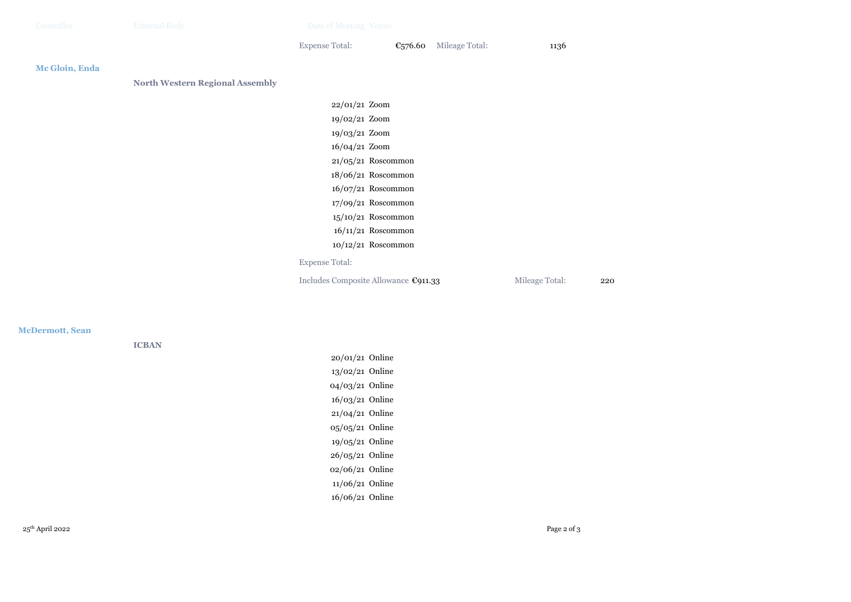| Councillor     | <b>External Body</b>                   | Date of Meeting Venue                |                      |                |                |     |
|----------------|----------------------------------------|--------------------------------------|----------------------|----------------|----------------|-----|
|                |                                        | <b>Expense Total:</b>                | €576.60              | Mileage Total: | 1136           |     |
| Mc Gloin, Enda |                                        |                                      |                      |                |                |     |
|                | <b>North Western Regional Assembly</b> |                                      |                      |                |                |     |
|                |                                        | 22/01/21 Zoom                        |                      |                |                |     |
|                |                                        | 19/02/21 Zoom                        |                      |                |                |     |
|                |                                        | 19/03/21 Zoom                        |                      |                |                |     |
|                |                                        | 16/04/21 Zoom                        |                      |                |                |     |
|                |                                        |                                      | 21/05/21 Roscommon   |                |                |     |
|                |                                        |                                      | 18/06/21 Roscommon   |                |                |     |
|                |                                        |                                      | 16/07/21 Roscommon   |                |                |     |
|                |                                        |                                      | 17/09/21 Roscommon   |                |                |     |
|                |                                        |                                      | 15/10/21 Roscommon   |                |                |     |
|                |                                        |                                      | $16/11/21$ Roscommon |                |                |     |
|                |                                        |                                      | 10/12/21 Roscommon   |                |                |     |
|                |                                        | <b>Expense Total:</b>                |                      |                |                |     |
|                |                                        | Includes Composite Allowance €911.33 |                      |                | Mileage Total: | 220 |
|                |                                        |                                      |                      |                |                |     |
|                |                                        |                                      |                      |                |                |     |

## **McDermott, Sean**

**ICBAN**

20/01/21 Online 13/02/21 Online 04/03/21 Online 16/03/21 Online 21/04/21 Online 05/05/21 Online 19/05/21 Online 26/05/21 Online 02/06/21 Online 11/06/21 Online 16/06/21 Online